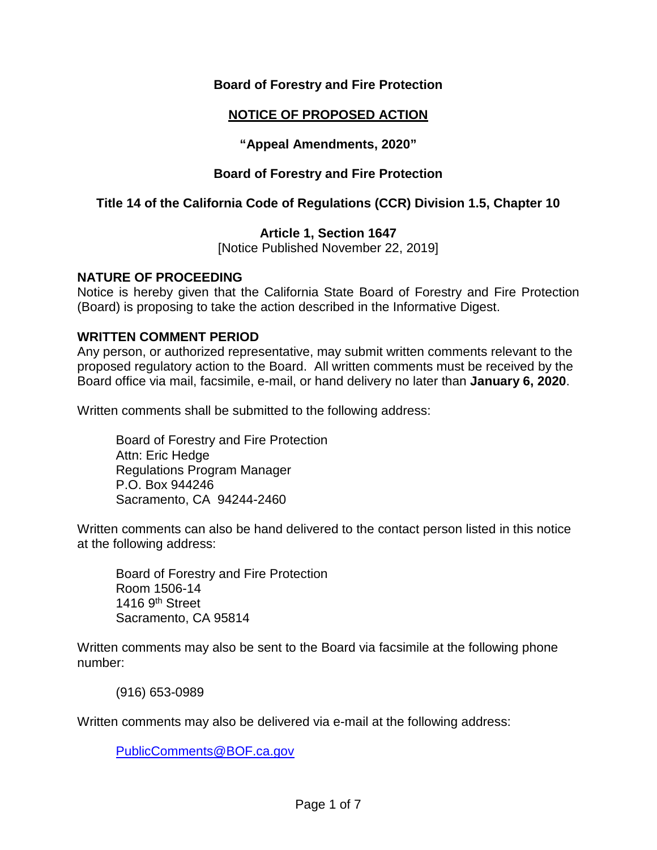### **Board of Forestry and Fire Protection**

# **NOTICE OF PROPOSED ACTION**

**"Appeal Amendments, 2020"**

### **Board of Forestry and Fire Protection**

### **Title 14 of the California Code of Regulations (CCR) Division 1.5, Chapter 10**

### **Article 1, Section 1647**

[Notice Published November 22, 2019]

### **NATURE OF PROCEEDING**

Notice is hereby given that the California State Board of Forestry and Fire Protection (Board) is proposing to take the action described in the Informative Digest.

### **WRITTEN COMMENT PERIOD**

Any person, or authorized representative, may submit written comments relevant to the proposed regulatory action to the Board. All written comments must be received by the Board office via mail, facsimile, e-mail, or hand delivery no later than **January 6, 2020**.

Written comments shall be submitted to the following address:

Board of Forestry and Fire Protection Attn: Eric Hedge Regulations Program Manager P.O. Box 944246 Sacramento, CA 94244-2460

Written comments can also be hand delivered to the contact person listed in this notice at the following address:

Board of Forestry and Fire Protection Room 1506-14 1416 9<sup>th</sup> Street Sacramento, CA 95814

Written comments may also be sent to the Board via facsimile at the following phone number:

(916) 653-0989

Written comments may also be delivered via e-mail at the following address:

[PublicComments@BOF.ca.gov](mailto:PublicComments@BOF.ca.gov)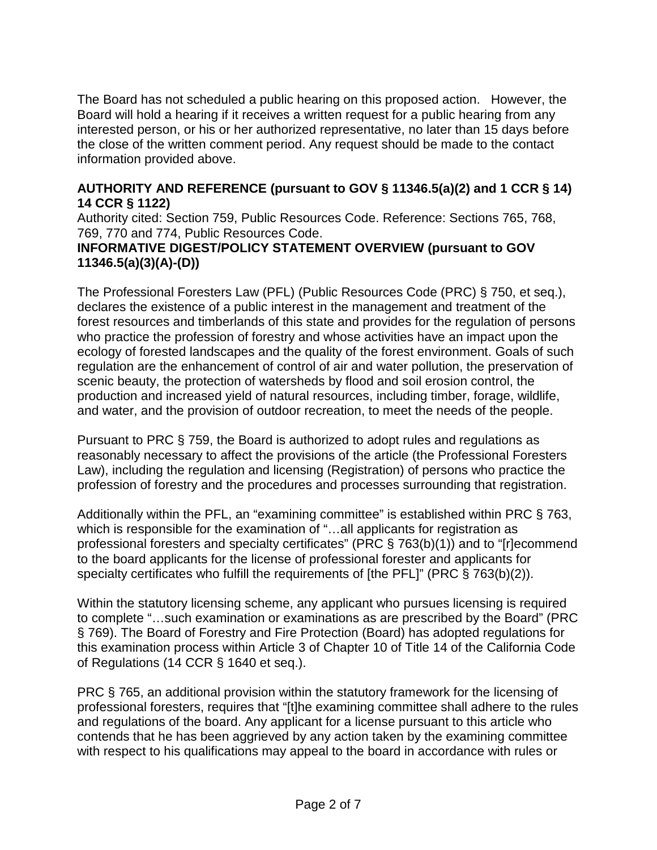The Board has not scheduled a public hearing on this proposed action. However, the Board will hold a hearing if it receives a written request for a public hearing from any interested person, or his or her authorized representative, no later than 15 days before the close of the written comment period. Any request should be made to the contact information provided above.

### **AUTHORITY AND REFERENCE (pursuant to GOV § 11346.5(a)(2) and 1 CCR § 14) 14 CCR § 1122)**

Authority cited: Section 759, Public Resources Code. Reference: Sections 765, 768, 769, 770 and 774, Public Resources Code.

# **INFORMATIVE DIGEST/POLICY STATEMENT OVERVIEW (pursuant to GOV 11346.5(a)(3)(A)-(D))**

The Professional Foresters Law (PFL) (Public Resources Code (PRC) § 750, et seq.), declares the existence of a public interest in the management and treatment of the forest resources and timberlands of this state and provides for the regulation of persons who practice the profession of forestry and whose activities have an impact upon the ecology of forested landscapes and the quality of the forest environment. Goals of such regulation are the enhancement of control of air and water pollution, the preservation of scenic beauty, the protection of watersheds by flood and soil erosion control, the production and increased yield of natural resources, including timber, forage, wildlife, and water, and the provision of outdoor recreation, to meet the needs of the people.

Pursuant to PRC § 759, the Board is authorized to adopt rules and regulations as reasonably necessary to affect the provisions of the article (the Professional Foresters Law), including the regulation and licensing (Registration) of persons who practice the profession of forestry and the procedures and processes surrounding that registration.

Additionally within the PFL, an "examining committee" is established within PRC § 763, which is responsible for the examination of "...all applicants for registration as professional foresters and specialty certificates" (PRC § 763(b)(1)) and to "[r]ecommend to the board applicants for the license of professional forester and applicants for specialty certificates who fulfill the requirements of [the PFL]" (PRC § 763(b)(2)).

Within the statutory licensing scheme, any applicant who pursues licensing is required to complete "…such examination or examinations as are prescribed by the Board" (PRC § 769). The Board of Forestry and Fire Protection (Board) has adopted regulations for this examination process within Article 3 of Chapter 10 of Title 14 of the California Code of Regulations (14 CCR § 1640 et seq.).

PRC § 765, an additional provision within the statutory framework for the licensing of professional foresters, requires that "[t]he examining committee shall adhere to the rules and regulations of the board. Any applicant for a license pursuant to this article who contends that he has been aggrieved by any action taken by the examining committee with respect to his qualifications may appeal to the board in accordance with rules or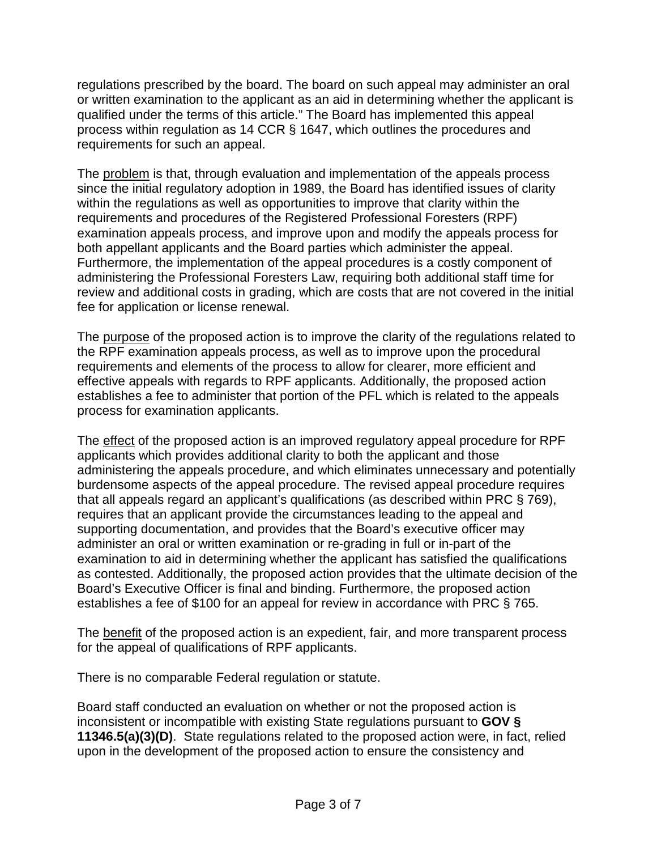regulations prescribed by the board. The board on such appeal may administer an oral or written examination to the applicant as an aid in determining whether the applicant is qualified under the terms of this article." The Board has implemented this appeal process within regulation as 14 CCR § 1647, which outlines the procedures and requirements for such an appeal.

The problem is that, through evaluation and implementation of the appeals process since the initial regulatory adoption in 1989, the Board has identified issues of clarity within the regulations as well as opportunities to improve that clarity within the requirements and procedures of the Registered Professional Foresters (RPF) examination appeals process, and improve upon and modify the appeals process for both appellant applicants and the Board parties which administer the appeal. Furthermore, the implementation of the appeal procedures is a costly component of administering the Professional Foresters Law, requiring both additional staff time for review and additional costs in grading, which are costs that are not covered in the initial fee for application or license renewal.

The purpose of the proposed action is to improve the clarity of the regulations related to the RPF examination appeals process, as well as to improve upon the procedural requirements and elements of the process to allow for clearer, more efficient and effective appeals with regards to RPF applicants. Additionally, the proposed action establishes a fee to administer that portion of the PFL which is related to the appeals process for examination applicants.

The effect of the proposed action is an improved regulatory appeal procedure for RPF applicants which provides additional clarity to both the applicant and those administering the appeals procedure, and which eliminates unnecessary and potentially burdensome aspects of the appeal procedure. The revised appeal procedure requires that all appeals regard an applicant's qualifications (as described within PRC § 769), requires that an applicant provide the circumstances leading to the appeal and supporting documentation, and provides that the Board's executive officer may administer an oral or written examination or re-grading in full or in-part of the examination to aid in determining whether the applicant has satisfied the qualifications as contested. Additionally, the proposed action provides that the ultimate decision of the Board's Executive Officer is final and binding. Furthermore, the proposed action establishes a fee of \$100 for an appeal for review in accordance with PRC § 765.

The benefit of the proposed action is an expedient, fair, and more transparent process for the appeal of qualifications of RPF applicants.

There is no comparable Federal regulation or statute.

Board staff conducted an evaluation on whether or not the proposed action is inconsistent or incompatible with existing State regulations pursuant to **GOV § 11346.5(a)(3)(D)**.State regulations related to the proposed action were, in fact, relied upon in the development of the proposed action to ensure the consistency and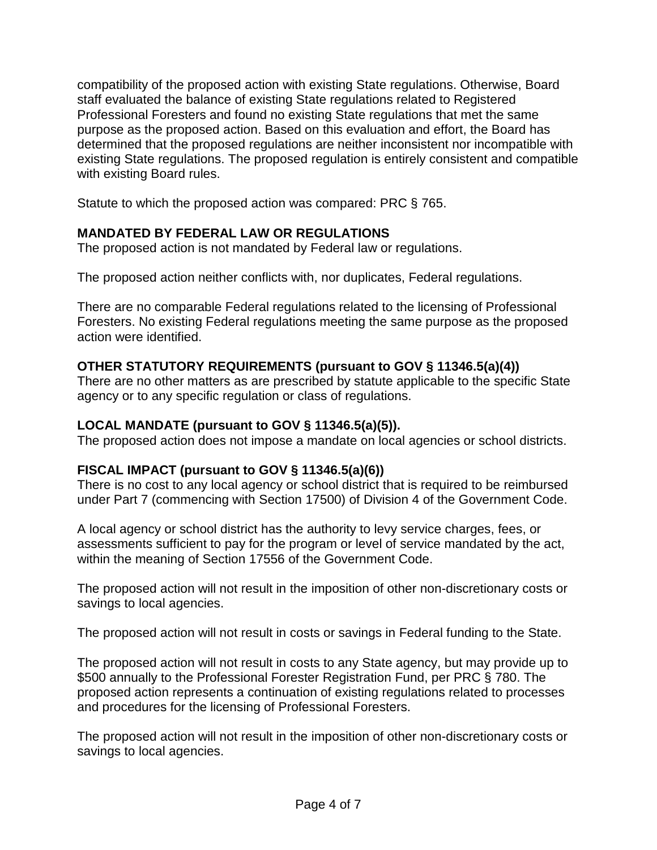compatibility of the proposed action with existing State regulations. Otherwise, Board staff evaluated the balance of existing State regulations related to Registered Professional Foresters and found no existing State regulations that met the same purpose as the proposed action. Based on this evaluation and effort, the Board has determined that the proposed regulations are neither inconsistent nor incompatible with existing State regulations. The proposed regulation is entirely consistent and compatible with existing Board rules.

Statute to which the proposed action was compared: PRC § 765.

# **MANDATED BY FEDERAL LAW OR REGULATIONS**

The proposed action is not mandated by Federal law or regulations.

The proposed action neither conflicts with, nor duplicates, Federal regulations.

There are no comparable Federal regulations related to the licensing of Professional Foresters. No existing Federal regulations meeting the same purpose as the proposed action were identified.

## **OTHER STATUTORY REQUIREMENTS (pursuant to GOV § 11346.5(a)(4))**

There are no other matters as are prescribed by statute applicable to the specific State agency or to any specific regulation or class of regulations.

## **LOCAL MANDATE (pursuant to GOV § 11346.5(a)(5)).**

The proposed action does not impose a mandate on local agencies or school districts.

## **FISCAL IMPACT (pursuant to GOV § 11346.5(a)(6))**

There is no cost to any local agency or school district that is required to be reimbursed under Part 7 (commencing with Section 17500) of Division 4 of the Government Code.

A local agency or school district has the authority to levy service charges, fees, or assessments sufficient to pay for the program or level of service mandated by the act, within the meaning of Section 17556 of the Government Code.

The proposed action will not result in the imposition of other non-discretionary costs or savings to local agencies.

The proposed action will not result in costs or savings in Federal funding to the State.

The proposed action will not result in costs to any State agency, but may provide up to \$500 annually to the Professional Forester Registration Fund, per PRC § 780. The proposed action represents a continuation of existing regulations related to processes and procedures for the licensing of Professional Foresters.

The proposed action will not result in the imposition of other non-discretionary costs or savings to local agencies.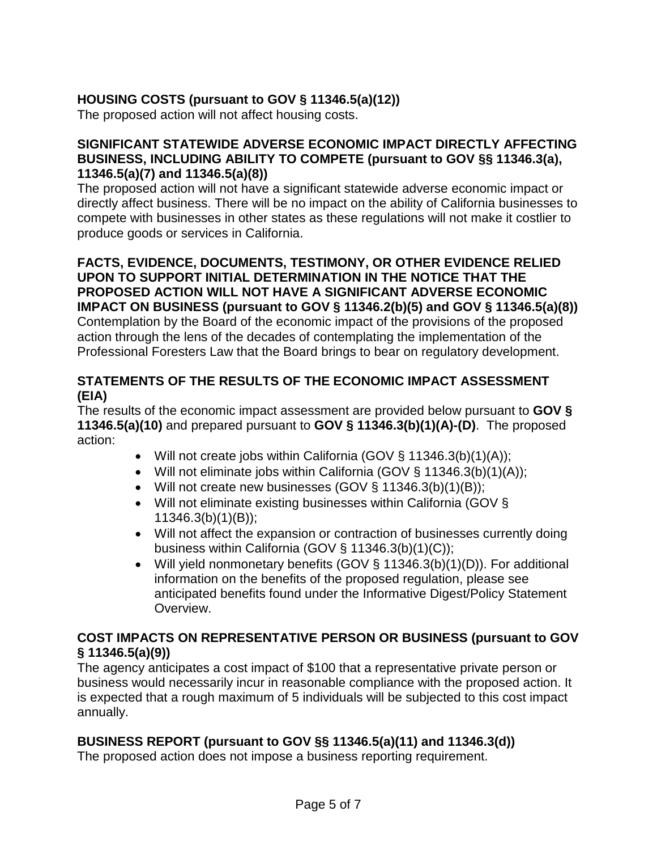# **HOUSING COSTS (pursuant to GOV § 11346.5(a)(12))**

The proposed action will not affect housing costs.

### **SIGNIFICANT STATEWIDE ADVERSE ECONOMIC IMPACT DIRECTLY AFFECTING BUSINESS, INCLUDING ABILITY TO COMPETE (pursuant to GOV §§ 11346.3(a), 11346.5(a)(7) and 11346.5(a)(8))**

The proposed action will not have a significant statewide adverse economic impact or directly affect business. There will be no impact on the ability of California businesses to compete with businesses in other states as these regulations will not make it costlier to produce goods or services in California.

**FACTS, EVIDENCE, DOCUMENTS, TESTIMONY, OR OTHER EVIDENCE RELIED UPON TO SUPPORT INITIAL DETERMINATION IN THE NOTICE THAT THE PROPOSED ACTION WILL NOT HAVE A SIGNIFICANT ADVERSE ECONOMIC IMPACT ON BUSINESS (pursuant to GOV § 11346.2(b)(5) and GOV § 11346.5(a)(8))**  Contemplation by the Board of the economic impact of the provisions of the proposed action through the lens of the decades of contemplating the implementation of the Professional Foresters Law that the Board brings to bear on regulatory development.

# **STATEMENTS OF THE RESULTS OF THE ECONOMIC IMPACT ASSESSMENT (EIA)**

The results of the economic impact assessment are provided below pursuant to **GOV § 11346.5(a)(10)** and prepared pursuant to **GOV § 11346.3(b)(1)(A)-(D)**. The proposed action:

- Will not create jobs within California (GOV § 11346.3(b)(1)(A));
- Will not eliminate jobs within California (GOV § 11346.3(b)(1)(A));
- Will not create new businesses (GOV § 11346.3(b)(1)(B));
- Will not eliminate existing businesses within California (GOV § 11346.3(b)(1)(B));
- Will not affect the expansion or contraction of businesses currently doing business within California (GOV § 11346.3(b)(1)(C));
- Will yield nonmonetary benefits (GOV § 11346.3(b)(1)(D)). For additional information on the benefits of the proposed regulation, please see anticipated benefits found under the Informative Digest/Policy Statement Overview.

## **COST IMPACTS ON REPRESENTATIVE PERSON OR BUSINESS (pursuant to GOV § 11346.5(a)(9))**

The agency anticipates a cost impact of \$100 that a representative private person or business would necessarily incur in reasonable compliance with the proposed action. It is expected that a rough maximum of 5 individuals will be subjected to this cost impact annually.

## **BUSINESS REPORT (pursuant to GOV §§ 11346.5(a)(11) and 11346.3(d))**

The proposed action does not impose a business reporting requirement.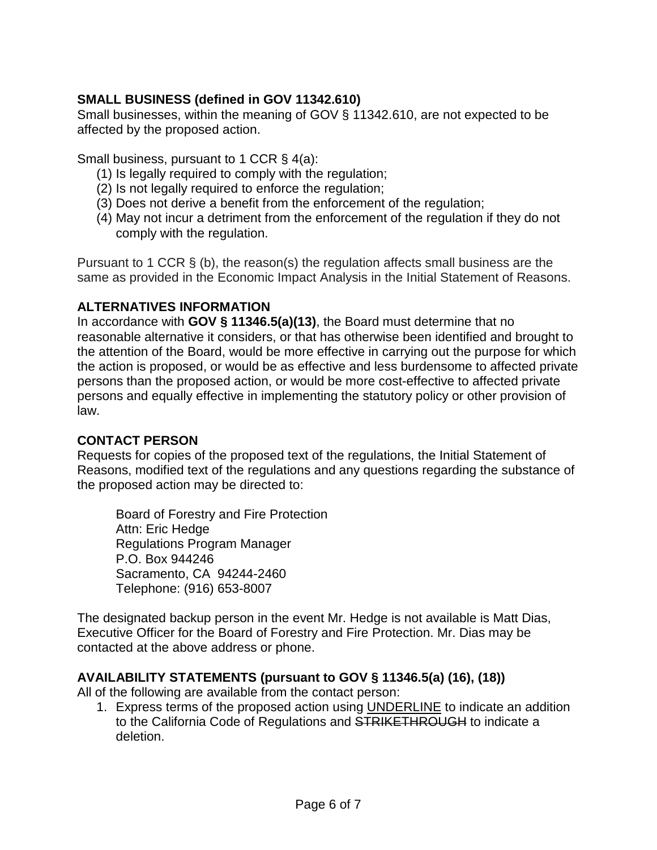# **SMALL BUSINESS (defined in GOV 11342.610)**

Small businesses, within the meaning of GOV § 11342.610, are not expected to be affected by the proposed action.

Small business, pursuant to 1 CCR § 4(a):

- (1) Is legally required to comply with the regulation;
- (2) Is not legally required to enforce the regulation;
- (3) Does not derive a benefit from the enforcement of the regulation;
- (4) May not incur a detriment from the enforcement of the regulation if they do not comply with the regulation.

Pursuant to 1 CCR § (b), the reason(s) the regulation affects small business are the same as provided in the Economic Impact Analysis in the Initial Statement of Reasons.

### **ALTERNATIVES INFORMATION**

In accordance with **GOV § 11346.5(a)(13)**, the Board must determine that no reasonable alternative it considers, or that has otherwise been identified and brought to the attention of the Board, would be more effective in carrying out the purpose for which the action is proposed, or would be as effective and less burdensome to affected private persons than the proposed action, or would be more cost-effective to affected private persons and equally effective in implementing the statutory policy or other provision of law.

### **CONTACT PERSON**

Requests for copies of the proposed text of the regulations, the Initial Statement of Reasons, modified text of the regulations and any questions regarding the substance of the proposed action may be directed to:

Board of Forestry and Fire Protection Attn: Eric Hedge Regulations Program Manager P.O. Box 944246 Sacramento, CA 94244-2460 Telephone: (916) 653-8007

The designated backup person in the event Mr. Hedge is not available is Matt Dias, Executive Officer for the Board of Forestry and Fire Protection. Mr. Dias may be contacted at the above address or phone.

## **AVAILABILITY STATEMENTS (pursuant to GOV § 11346.5(a) (16), (18))**

All of the following are available from the contact person:

1. Express terms of the proposed action using UNDERLINE to indicate an addition to the California Code of Regulations and STRIKETHROUGH to indicate a deletion.